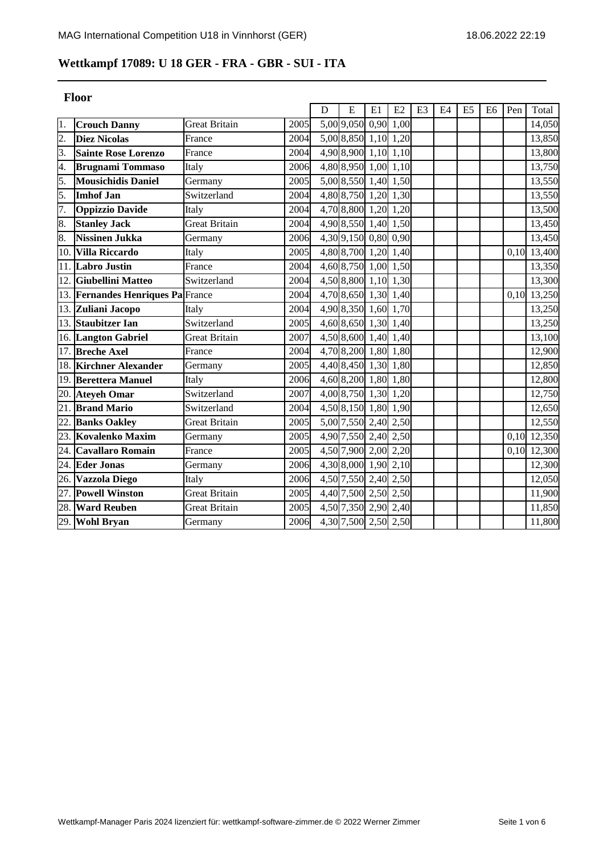# **Wettkampf 17089: U 18 GER - FRA - GBR - SUI - ITA**

|                   | Floor                         |                      |      |   |                       |    |      |                |    |                |                |      |                     |
|-------------------|-------------------------------|----------------------|------|---|-----------------------|----|------|----------------|----|----------------|----------------|------|---------------------|
|                   |                               |                      |      | D | E                     | E1 | E2   | E <sub>3</sub> | E4 | E <sub>5</sub> | E <sub>6</sub> | Pen  | Total               |
| 1.                | <b>Crouch Danny</b>           | <b>Great Britain</b> | 2005 |   | 5,00 9,050 0,90       |    | 1,00 |                |    |                |                |      | 14,050              |
| $\overline{2}$ .  | <b>Diez Nicolas</b>           | France               | 2004 |   | 5,00 8,850 1,10       |    | 1,20 |                |    |                |                |      | 13,850              |
| 3.                | <b>Sainte Rose Lorenzo</b>    | France               | 2004 |   | 4,90 8,900 1,10       |    | 1,10 |                |    |                |                |      | 13,800              |
| 4.                | <b>Brugnami Tommaso</b>       | Italy                | 2006 |   | 4,80 8,950 1,00       |    | 1,10 |                |    |                |                |      | 13,750              |
| 5.                | <b>Mousichidis Daniel</b>     | Germany              | 2005 |   | 5,00 8,550 1,40       |    | 1,50 |                |    |                |                |      | 13,550              |
| 5.                | <b>Imhof Jan</b>              | Switzerland          | 2004 |   | 4,80 8,750 1,20       |    | 1,30 |                |    |                |                |      | 13,550              |
| 7.                | <b>Oppizzio Davide</b>        | Italy                | 2004 |   | 4,70 8,800 1,20       |    | 1,20 |                |    |                |                |      | 13,500              |
| 8.                | <b>Stanley Jack</b>           | Great Britain        | 2004 |   | 4,90 8,550 1,40       |    | 1,50 |                |    |                |                |      | 13,450              |
| 8.                | <b>Nissinen Jukka</b>         | Germany              | 2006 |   | 4,30 9,150 0,80       |    | 0,90 |                |    |                |                |      | 13,450              |
| 10.               | <b>Villa Riccardo</b>         | Italy                | 2005 |   | 4,80 8,700 1,20       |    | 1,40 |                |    |                |                | 0,10 | $\overline{13,400}$ |
| 11.               | <b>Labro Justin</b>           | France               | 2004 |   | 4,60 8,750 1,00       |    | 1,50 |                |    |                |                |      | 13,350              |
| 12.               | Giubellini Matteo             | Switzerland          | 2004 |   | 4,50 8,800 1,10       |    | 1,30 |                |    |                |                |      | 13,300              |
| 13.               | Fernandes Henriques Pa France |                      | 2004 |   | $4,70$ $8,650$ $1,30$ |    | 1,40 |                |    |                |                | 0,10 | 13,250              |
|                   | 13. Zuliani Jacopo            | Italy                | 2004 |   | 4,90 8,350 1,60       |    | 1,70 |                |    |                |                |      | 13,250              |
| 13.               | <b>Staubitzer Ian</b>         | Switzerland          | 2005 |   | 4,60 8,650 1,30 1,40  |    |      |                |    |                |                |      | 13,250              |
|                   | 16. Langton Gabriel           | Great Britain        | 2007 |   | 4,50 8,600 1,40 1,40  |    |      |                |    |                |                |      | 13,100              |
| 17.               | <b>Breche Axel</b>            | France               | 2004 |   | 4,70 8,200 1,80       |    | 1,80 |                |    |                |                |      | 12,900              |
| 18.               | <b>Kirchner Alexander</b>     | Germany              | 2005 |   | 4,40 8,450 1,30       |    | 1,80 |                |    |                |                |      | 12,850              |
|                   | 19. Berettera Manuel          | Italy                | 2006 |   | 4,60 8,200 1,80       |    | 1,80 |                |    |                |                |      | 12,800              |
|                   | 20. Ateyeh Omar               | Switzerland          | 2007 |   | 4,00 8,750 1,30       |    | 1,20 |                |    |                |                |      | 12,750              |
| 21                | <b>Brand Mario</b>            | Switzerland          | 2004 |   | 4,50 8,150 1,80       |    | 1,90 |                |    |                |                |      | 12,650              |
| $\overline{22}$ . | <b>Banks Oakley</b>           | <b>Great Britain</b> | 2005 |   | 5,00 7,550 2,40       |    | 2,50 |                |    |                |                |      | 12,550              |
| 23.               | Kovalenko Maxim               | Germany              | 2005 |   | 4,90 7,550 2,40       |    | 2,50 |                |    |                |                | 0.10 | 12,350              |
| 24.               | <b>Cavallaro Romain</b>       | France               | 2005 |   | 4,50 7,900 2,00       |    | 2,20 |                |    |                |                | 0,10 | 12,300              |
| 24.               | <b>Eder Jonas</b>             | Germany              | 2006 |   | 4,30 8,000 1,90       |    | 2,10 |                |    |                |                |      | 12,300              |
| 26.               | Vazzola Diego                 | Italy                | 2006 |   | 4,50 7,550 2,40       |    | 2,50 |                |    |                |                |      | 12,050              |
| 27.               | <b>Powell Winston</b>         | <b>Great Britain</b> | 2005 |   | 4,40 7,500 2,50       |    | 2,50 |                |    |                |                |      | 11,900              |
| 28.               | <b>Ward Reuben</b>            | Great Britain        | 2005 |   | 4,50 7,350 2,90       |    | 2,40 |                |    |                |                |      | 11,850              |
|                   | 29. Wohl Bryan                | Germany              | 2006 |   | 4,30 7,500 2,50 2,50  |    |      |                |    |                |                |      | 11,800              |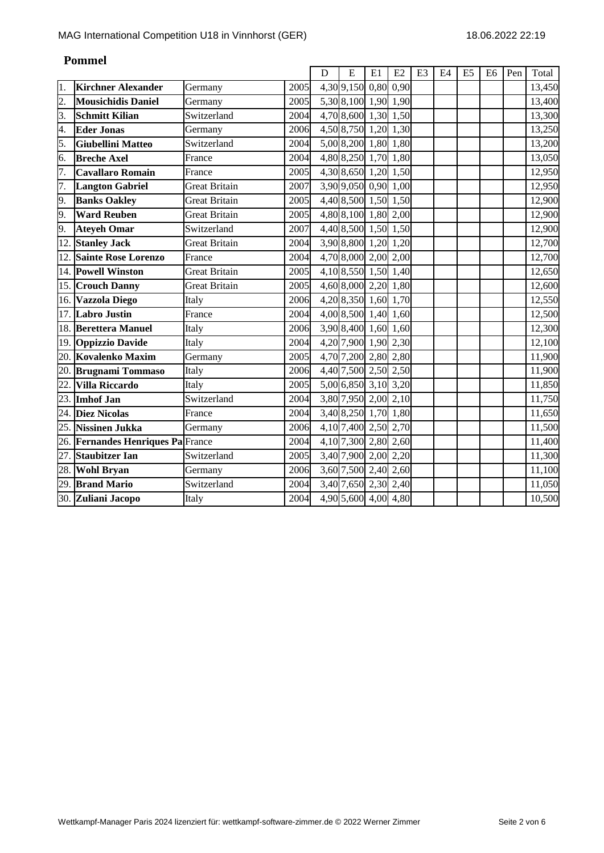|                  |                                   |                      |      | D | E                    | E1   | E2   | E <sub>3</sub> | E <sub>4</sub> | E <sub>5</sub> | E <sub>6</sub> | Pen | Total               |
|------------------|-----------------------------------|----------------------|------|---|----------------------|------|------|----------------|----------------|----------------|----------------|-----|---------------------|
| 1.               | <b>Kirchner Alexander</b>         | Germany              | 2005 |   | 4,30 9,150           | 0,80 | 0,90 |                |                |                |                |     | 13,450              |
| $\overline{2}$ . | <b>Mousichidis Daniel</b>         | Germany              | 2005 |   | 5,30 8,100 1,90 1,90 |      |      |                |                |                |                |     | 13,400              |
| $\overline{3}$ . | <b>Schmitt Kilian</b>             | Switzerland          | 2004 |   | 4,70 8,600 1,30 1,50 |      |      |                |                |                |                |     | 13,300              |
| 4.               | <b>Eder Jonas</b>                 | Germany              | 2006 |   | 4,50 8,750 1,20 1,30 |      |      |                |                |                |                |     | 13,250              |
| 5.               | <b>Giubellini Matteo</b>          | Switzerland          | 2004 |   | 5,00 8,200 1,80 1,80 |      |      |                |                |                |                |     | 13,200              |
| 6.               | <b>Breche Axel</b>                | France               | 2004 |   | 4,80 8,250 1,70 1,80 |      |      |                |                |                |                |     | 13,050              |
| 7.               | <b>Cavallaro Romain</b>           | France               | 2005 |   | 4,30 8,650 1,20 1,50 |      |      |                |                |                |                |     | 12,950              |
| 7.               | <b>Langton Gabriel</b>            | <b>Great Britain</b> | 2007 |   | 3,90 9,050 0,90 1,00 |      |      |                |                |                |                |     | 12,950              |
| 9.               | <b>Banks Oakley</b>               | <b>Great Britain</b> | 2005 |   | 4,40 8,500 1,50 1,50 |      |      |                |                |                |                |     | 12,900              |
| 9.               | <b>Ward Reuben</b>                | <b>Great Britain</b> | 2005 |   | 4,80 8,100 1,80 2,00 |      |      |                |                |                |                |     | 12,900              |
| 9.               | <b>Ateyeh Omar</b>                | Switzerland          | 2007 |   | 4,40 8,500 1,50 1,50 |      |      |                |                |                |                |     | 12,900              |
| 12.              | <b>Stanley Jack</b>               | <b>Great Britain</b> | 2004 |   | 3,90 8,800 1,20 1,20 |      |      |                |                |                |                |     | 12,700              |
| 12.              | <b>Sainte Rose Lorenzo</b>        | France               | 2004 |   | 4,70 8,000 2,00 2,00 |      |      |                |                |                |                |     | 12,700              |
|                  | 14. Powell Winston                | <b>Great Britain</b> | 2005 |   | 4,10 8,550 1,50 1,40 |      |      |                |                |                |                |     | 12,650              |
|                  | 15. Crouch Danny                  | <b>Great Britain</b> | 2005 |   | 4,60 8,000 2,20 1,80 |      |      |                |                |                |                |     | 12,600              |
|                  | 16. Vazzola Diego                 | Italy                | 2006 |   | 4,20 8,350 1,60 1,70 |      |      |                |                |                |                |     | 12,550              |
|                  | 17. Labro Justin                  | France               | 2004 |   | 4,00 8,500 1,40 1,60 |      |      |                |                |                |                |     | 12,500              |
|                  | 18. Berettera Manuel              | Italy                | 2006 |   | 3,90 8,400 1,60 1,60 |      |      |                |                |                |                |     | 12,300              |
| 19.              | <b>Oppizzio Davide</b>            | Italy                | 2004 |   | 4,20 7,900 1,90 2,30 |      |      |                |                |                |                |     | 12,100              |
| 20.              | Kovalenko Maxim                   | Germany              | 2005 |   | 4,70 7,200 2,80 2,80 |      |      |                |                |                |                |     | 11,900              |
|                  | 20. Brugnami Tommaso              | Italy                | 2006 |   | 4,40 7,500 2,50 2,50 |      |      |                |                |                |                |     | 11,900              |
| 22.              | <b>Villa Riccardo</b>             | Italy                | 2005 |   | 5,00 6,850 3,10 3,20 |      |      |                |                |                |                |     | 11,850              |
| 23.              | <b>Imhof Jan</b>                  | Switzerland          | 2004 |   | 3,80 7,950 2,00 2,10 |      |      |                |                |                |                |     | 11,750              |
| 24.              | <b>Diez Nicolas</b>               | France               | 2004 |   | 3,40 8,250 1,70 1,80 |      |      |                |                |                |                |     | 11,650              |
| 25.              | <b>Nissinen Jukka</b>             | Germany              | 2006 |   | 4,10 7,400 2,50 2,70 |      |      |                |                |                |                |     | 11,500              |
|                  | 26. Fernandes Henriques Pa France |                      | 2004 |   | 4,10 7,300 2,80 2,60 |      |      |                |                |                |                |     | $\overline{1}1,400$ |
| 27.              | <b>Staubitzer Ian</b>             | Switzerland          | 2005 |   | 3,40 7,900 2,00      |      | 2,20 |                |                |                |                |     | 11,300              |
| 28.              | <b>Wohl Bryan</b>                 | Germany              | 2006 |   | 3,60 7,500 2,40 2,60 |      |      |                |                |                |                |     | 11,100              |
| 29.              | <b>Brand Mario</b>                | Switzerland          | 2004 |   | 3,40 7,650 2,30 2,40 |      |      |                |                |                |                |     | 11,050              |
|                  | 30. Zuliani Jacopo                | Italy                | 2004 |   | 4,90 5,600 4,00 4,80 |      |      |                |                |                |                |     | 10,500              |

## **Pommel**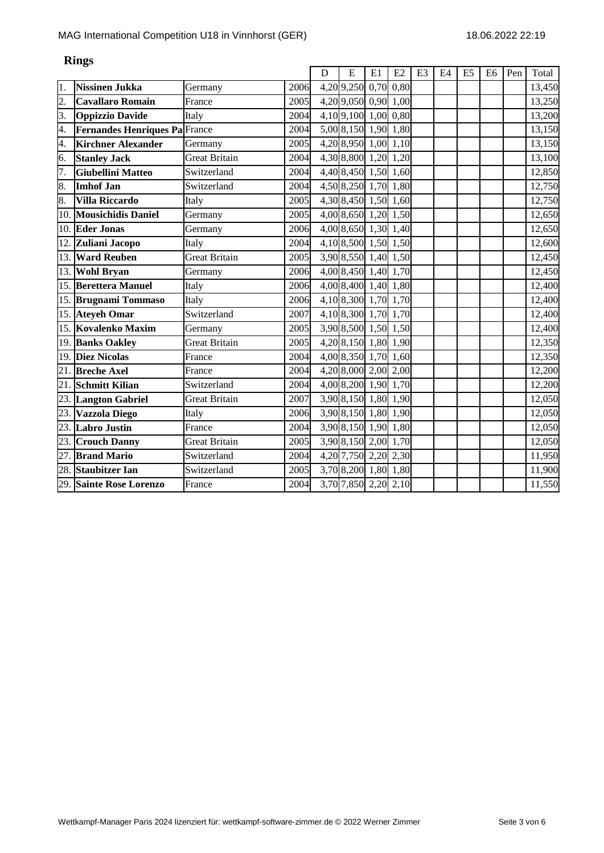|                  |                               |                      |      | D | E                            | E1 | E2   | E <sub>3</sub> | E <sub>4</sub> | E <sub>5</sub> | E <sub>6</sub> | Pen | Total  |
|------------------|-------------------------------|----------------------|------|---|------------------------------|----|------|----------------|----------------|----------------|----------------|-----|--------|
| 1.               | <b>Nissinen Jukka</b>         | Germany              | 2006 |   | $\overline{4,20}$ 9,250 0,70 |    | 0,80 |                |                |                |                |     | 13,450 |
| $\overline{2}$ . | <b>Cavallaro Romain</b>       | France               | 2005 |   | 4,20 9,050 0,90              |    | 1,00 |                |                |                |                |     | 13,250 |
| 3.               | <b>Oppizzio Davide</b>        | Italy                | 2004 |   | 4,10 9,100 1,00              |    | 0,80 |                |                |                |                |     | 13,200 |
| 4.               | Fernandes Henriques Pa France |                      | 2004 |   | 5,00 8,150 1,90              |    | 1,80 |                |                |                |                |     | 13,150 |
| 4.               | <b>Kirchner Alexander</b>     | Germany              | 2005 |   | 4,20 8,950 1,00 1,10         |    |      |                |                |                |                |     | 13,150 |
| 6.               | <b>Stanley Jack</b>           | <b>Great Britain</b> | 2004 |   | 4,30 8,800 1,20 1,20         |    |      |                |                |                |                |     | 13,100 |
| 7.               | <b>Giubellini Matteo</b>      | Switzerland          | 2004 |   | 4,40 8,450 1,50 1,60         |    |      |                |                |                |                |     | 12,850 |
| 8.               | <b>Imhof Jan</b>              | Switzerland          | 2004 |   | 4,50 8,250 1,70 1,80         |    |      |                |                |                |                |     | 12,750 |
| 8.               | <b>Villa Riccardo</b>         | Italy                | 2005 |   | 4,30 8,450 1,50 1,60         |    |      |                |                |                |                |     | 12,750 |
| 10.              | <b>Mousichidis Daniel</b>     | Germany              | 2005 |   | 4,00 8,650 1,20 1,50         |    |      |                |                |                |                |     | 12,650 |
| 10.              | <b>Eder Jonas</b>             | Germany              | 2006 |   | 4,00 8,650 1,30 1,40         |    |      |                |                |                |                |     | 12,650 |
| 12.              | Zuliani Jacopo                | Italy                | 2004 |   | 4,10 8,500 1,50 1,50         |    |      |                |                |                |                |     | 12,600 |
| 13.              | <b>Ward Reuben</b>            | <b>Great Britain</b> | 2005 |   | 3,90 8,550 1,40 1,50         |    |      |                |                |                |                |     | 12,450 |
| 13.              | <b>Wohl Bryan</b>             | Germany              | 2006 |   | 4,00 8,450 1,40 1,70         |    |      |                |                |                |                |     | 12,450 |
| 15.              | <b>Berettera Manuel</b>       | Italy                | 2006 |   | 4,00 8,400 1,40 1,80         |    |      |                |                |                |                |     | 12,400 |
|                  | 15. Brugnami Tommaso          | Italy                | 2006 |   | 4,10 8,300 1,70 1,70         |    |      |                |                |                |                |     | 12,400 |
| 15.              | <b>Ateyeh Omar</b>            | Switzerland          | 2007 |   | 4,10 8,300 1,70 1,70         |    |      |                |                |                |                |     | 12,400 |
| 15.              | Kovalenko Maxim               | Germany              | 2005 |   | 3,90 8,500 1,50 1,50         |    |      |                |                |                |                |     | 12,400 |
| 19.              | <b>Banks Oakley</b>           | <b>Great Britain</b> | 2005 |   | 4,20 8,150 1,80 1,90         |    |      |                |                |                |                |     | 12,350 |
| 19.              | <b>Diez Nicolas</b>           | France               | 2004 |   | 4,00 8,350 1,70 1,60         |    |      |                |                |                |                |     | 12,350 |
| 21.              | <b>Breche Axel</b>            | France               | 2004 |   | 4,20 8,000 2,00 2,00         |    |      |                |                |                |                |     | 12,200 |
| 21.              | <b>Schmitt Kilian</b>         | Switzerland          | 2004 |   | 4,00 8,200 1,90 1,70         |    |      |                |                |                |                |     | 12,200 |
| 23.              | <b>Langton Gabriel</b>        | Great Britain        | 2007 |   | 3,90 8,150 1,80 1,90         |    |      |                |                |                |                |     | 12,050 |
| 23.              | <b>Vazzola Diego</b>          | Italy                | 2006 |   | 3,90 8,150 1,80 1,90         |    |      |                |                |                |                |     | 12,050 |
| 23.              | <b>Labro Justin</b>           | France               | 2004 |   | 3,90 8,150 1,90 1,80         |    |      |                |                |                |                |     | 12,050 |
| 23.              | <b>Crouch Danny</b>           | <b>Great Britain</b> | 2005 |   | 3,90 8,150 2,00 1,70         |    |      |                |                |                |                |     | 12,050 |
| 27.              | <b>Brand Mario</b>            | Switzerland          | 2004 |   | 4,20 7,750 2,20 2,30         |    |      |                |                |                |                |     | 11,950 |
| 28.              | <b>Staubitzer Ian</b>         | Switzerland          | 2005 |   | 3,70 8,200 1,80 1,80         |    |      |                |                |                |                |     | 11,900 |
| 29.              | <b>Sainte Rose Lorenzo</b>    | France               | 2004 |   | 3,70 7,850 2,20 2,10         |    |      |                |                |                |                |     | 11,550 |

### **Rings**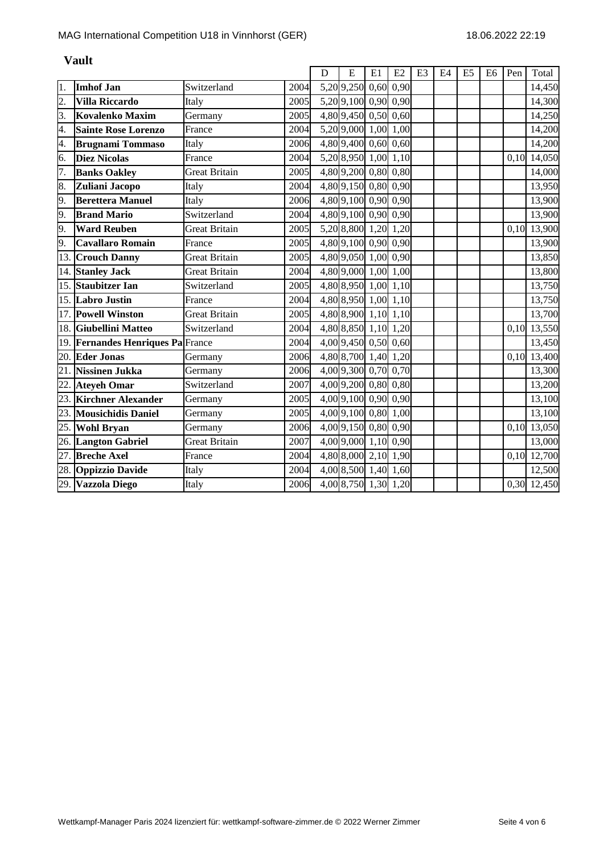|                  |                                      |                      |      | D | E                    | E1   | E2   | E <sub>3</sub> | E4 | E <sub>5</sub> | E <sub>6</sub> | Pen  | Total       |
|------------------|--------------------------------------|----------------------|------|---|----------------------|------|------|----------------|----|----------------|----------------|------|-------------|
| 1.               | <b>Imhof Jan</b>                     | Switzerland          | 2004 |   | 5,20 9,250           | 0,60 | 0,90 |                |    |                |                |      | 14,450      |
| $\overline{2}$ . | <b>Villa Riccardo</b>                | Italy                | 2005 |   | 5,20 9,100 0,90 0,90 |      |      |                |    |                |                |      | 14,300      |
| 3.               | <b>Kovalenko Maxim</b>               | Germany              | 2005 |   | 4,80 9,450 0,50 0,60 |      |      |                |    |                |                |      | 14,250      |
| 4.               | <b>Sainte Rose Lorenzo</b>           | France               | 2004 |   | 5,20 9,000 1,00 1,00 |      |      |                |    |                |                |      | 14,200      |
| 4.               | <b>Brugnami Tommaso</b>              | Italy                | 2006 |   | 4,80 9,400 0,60 0,60 |      |      |                |    |                |                |      | 14,200      |
| 6.               | <b>Diez Nicolas</b>                  | France               | 2004 |   | 5,20 8,950 1,00 1,10 |      |      |                |    |                |                | 0,10 | 14,050      |
| 7.               | <b>Banks Oakley</b>                  | <b>Great Britain</b> | 2005 |   | 4,80 9,200 0,80 0,80 |      |      |                |    |                |                |      | 14,000      |
| 8.               | Zuliani Jacopo                       | Italy                | 2004 |   | 4,80 9,150 0,80 0,90 |      |      |                |    |                |                |      | 13,950      |
| 9.               | <b>Berettera Manuel</b>              | Italy                | 2006 |   | 4,80 9,100 0,90 0,90 |      |      |                |    |                |                |      | 13,900      |
| 9.               | <b>Brand Mario</b>                   | Switzerland          | 2004 |   | 4,80 9,100 0,90 0,90 |      |      |                |    |                |                |      | 13,900      |
| 9.               | <b>Ward Reuben</b>                   | <b>Great Britain</b> | 2005 |   | 5,20 8,800 1,20 1,20 |      |      |                |    |                |                | 0.10 | 13,900      |
| 9.               | <b>Cavallaro Romain</b>              | France               | 2005 |   | 4,80 9,100 0,90 0,90 |      |      |                |    |                |                |      | 13,900      |
| 13.              | <b>Crouch Danny</b>                  | <b>Great Britain</b> | 2005 |   | 4,80 9,050 1,00 0,90 |      |      |                |    |                |                |      | 13,850      |
| 14.              | <b>Stanley Jack</b>                  | <b>Great Britain</b> | 2004 |   | 4,80 9,000 1,00 1,00 |      |      |                |    |                |                |      | 13,800      |
| 15.              | <b>Staubitzer Ian</b>                | Switzerland          | 2005 |   | 4,80 8,950 1,00 1,10 |      |      |                |    |                |                |      | 13,750      |
|                  | 15. Labro Justin                     | France               | 2004 |   | 4,80 8,950 1,00 1,10 |      |      |                |    |                |                |      | 13,750      |
| 17.              | <b>Powell Winston</b>                | <b>Great Britain</b> | 2005 |   | 4,80 8,900 1,10 1,10 |      |      |                |    |                |                |      | 13,700      |
| 18.              | <b>Giubellini Matteo</b>             | Switzerland          | 2004 |   | 4,80 8,850 1,10 1,20 |      |      |                |    |                |                | 0,10 | 13,550      |
| 19.              | <b>Fernandes Henriques Pa France</b> |                      | 2004 |   | 4,00 9,450 0,50 0,60 |      |      |                |    |                |                |      | 13,450      |
| 20.              | <b>Eder Jonas</b>                    | Germany              | 2006 |   | 4,80 8,700 1,40 1,20 |      |      |                |    |                |                | 0,10 | 13,400      |
| 21.              | <b>Nissinen Jukka</b>                | Germany              | 2006 |   | 4,00 9,300 0,70 0,70 |      |      |                |    |                |                |      | 13,300      |
| 22.              | <b>Ateyeh Omar</b>                   | Switzerland          | 2007 |   | 4,00 9,200 0,80 0,80 |      |      |                |    |                |                |      | 13,200      |
| 23.              | <b>Kirchner Alexander</b>            | Germany              | 2005 |   | 4,00 9,100 0,90 0,90 |      |      |                |    |                |                |      | 13,100      |
| 23.              | <b>Mousichidis Daniel</b>            | Germany              | 2005 |   | 4,00 9,100 0,80      |      | 1,00 |                |    |                |                |      | 13,100      |
| 25.              | <b>Wohl Bryan</b>                    | Germany              | 2006 |   | 4,00 9,150 0,80 0,90 |      |      |                |    |                |                | 0,10 | 13,050      |
|                  | 26. Langton Gabriel                  | <b>Great Britain</b> | 2007 |   | 4,00 9,000 1,10 0,90 |      |      |                |    |                |                |      | 13,000      |
| 27.              | <b>Breche Axel</b>                   | France               | 2004 |   | 4,80 8,000 2,10 1,90 |      |      |                |    |                |                | 0,10 | 12,700      |
|                  | 28. Oppizzio Davide                  | Italy                | 2004 |   | 4,00 8,500 1,40 1,60 |      |      |                |    |                |                |      | 12,500      |
|                  | 29. Vazzola Diego                    | Italy                | 2006 |   | 4,00 8,750 1,30 1,20 |      |      |                |    |                |                |      | 0,30 12,450 |

#### **Vault**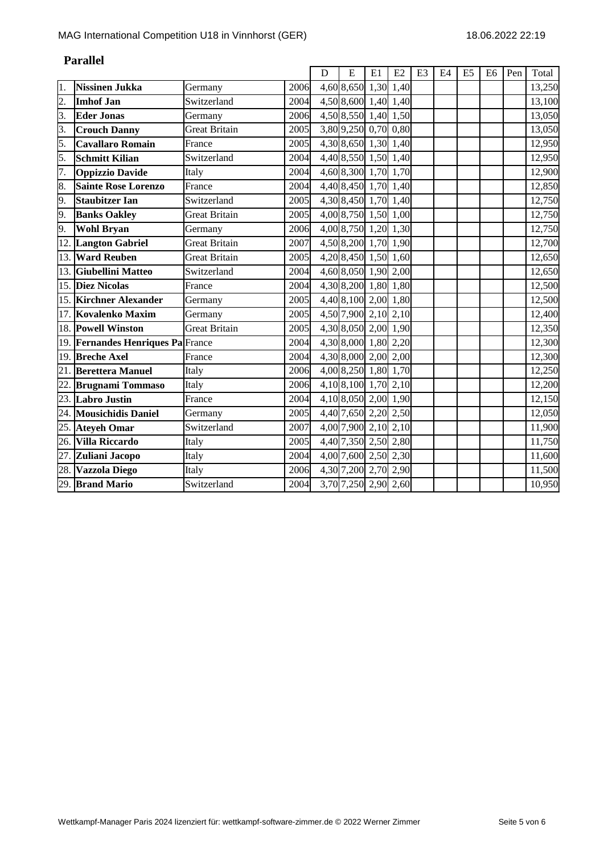|                  |                                      |                      |      | D | E                    | E1 | E2        | E <sub>3</sub> | E4 | E <sub>5</sub> | E <sub>6</sub> | Pen | Total  |
|------------------|--------------------------------------|----------------------|------|---|----------------------|----|-----------|----------------|----|----------------|----------------|-----|--------|
| 1.               | Nissinen Jukka                       | Germany              | 2006 |   | 4,60 8,650           |    | 1,30 1,40 |                |    |                |                |     | 13,250 |
| $\overline{2}$ . | <b>Imhof Jan</b>                     | Switzerland          | 2004 |   | 4,50 8,600 1,40 1,40 |    |           |                |    |                |                |     | 13,100 |
| 3.               | <b>Eder Jonas</b>                    | Germany              | 2006 |   | 4,50 8,550 1,40 1,50 |    |           |                |    |                |                |     | 13,050 |
| 3.               | <b>Crouch Danny</b>                  | <b>Great Britain</b> | 2005 |   | 3,80 9,250 0,70 0,80 |    |           |                |    |                |                |     | 13,050 |
| 5.               | <b>Cavallaro Romain</b>              | France               | 2005 |   | 4,30 8,650 1,30 1,40 |    |           |                |    |                |                |     | 12,950 |
| 5.               | <b>Schmitt Kilian</b>                | Switzerland          | 2004 |   | 4,40 8,550 1,50 1,40 |    |           |                |    |                |                |     | 12,950 |
| 7.               | <b>Oppizzio Davide</b>               | Italy                | 2004 |   | 4,60 8,300 1,70 1,70 |    |           |                |    |                |                |     | 12,900 |
| 8.               | <b>Sainte Rose Lorenzo</b>           | France               | 2004 |   | 4,40 8,450 1,70 1,40 |    |           |                |    |                |                |     | 12,850 |
| 9.               | <b>Staubitzer Ian</b>                | Switzerland          | 2005 |   | 4,30 8,450 1,70 1,40 |    |           |                |    |                |                |     | 12,750 |
| 9.               | <b>Banks Oakley</b>                  | <b>Great Britain</b> | 2005 |   | 4,00 8,750 1,50 1,00 |    |           |                |    |                |                |     | 12,750 |
| 9.               | <b>Wohl Bryan</b>                    | Germany              | 2006 |   | 4,00 8,750 1,20 1,30 |    |           |                |    |                |                |     | 12,750 |
| 12.              | <b>Langton Gabriel</b>               | <b>Great Britain</b> | 2007 |   | 4,50 8,200 1,70 1,90 |    |           |                |    |                |                |     | 12,700 |
| 13.              | <b>Ward Reuben</b>                   | <b>Great Britain</b> | 2005 |   | 4,20 8,450 1,50 1,60 |    |           |                |    |                |                |     | 12,650 |
| 13.              | <b>Giubellini Matteo</b>             | Switzerland          | 2004 |   | 4,60 8,050 1,90 2,00 |    |           |                |    |                |                |     | 12,650 |
| 15.              | <b>Diez Nicolas</b>                  | France               | 2004 |   | 4,30 8,200 1,80 1,80 |    |           |                |    |                |                |     | 12,500 |
| 15.              | <b>Kirchner Alexander</b>            | Germany              | 2005 |   | 4,40 8,100 2,00 1,80 |    |           |                |    |                |                |     | 12,500 |
| 17.              | <b>Kovalenko Maxim</b>               | Germany              | 2005 |   | 4,50 7,900 2,10 2,10 |    |           |                |    |                |                |     | 12,400 |
|                  | 18. Powell Winston                   | <b>Great Britain</b> | 2005 |   | 4,30 8,050 2,00 1,90 |    |           |                |    |                |                |     | 12,350 |
| 19.              | <b>Fernandes Henriques Pa France</b> |                      | 2004 |   | 4,30 8,000 1,80 2,20 |    |           |                |    |                |                |     | 12,300 |
| 19.              | <b>Breche Axel</b>                   | France               | 2004 |   | 4,30 8,000 2,00 2,00 |    |           |                |    |                |                |     | 12,300 |
| 21.              | <b>Berettera Manuel</b>              | Italy                | 2006 |   | 4,00 8,250 1,80 1,70 |    |           |                |    |                |                |     | 12,250 |
| 22.              | <b>Brugnami Tommaso</b>              | Italy                | 2006 |   | 4,10 8,100 1,70 2,10 |    |           |                |    |                |                |     | 12,200 |
| 23.              | <b>Labro Justin</b>                  | France               | 2004 |   | 4,10 8,050 2,00 1,90 |    |           |                |    |                |                |     | 12,150 |
|                  | 24. Mousichidis Daniel               | Germany              | 2005 |   | 4,40 7,650 2,20 2,50 |    |           |                |    |                |                |     | 12,050 |
| 25.              | <b>Ateyeh Omar</b>                   | Switzerland          | 2007 |   | 4,00 7,900 2,10 2,10 |    |           |                |    |                |                |     | 11,900 |
|                  | 26. Villa Riccardo                   | Italy                | 2005 |   | 4,40 7,350 2,50 2,80 |    |           |                |    |                |                |     | 11,750 |
| 27.              | Zuliani Jacopo                       | Italy                | 2004 |   | 4,00 7,600 2,50 2,30 |    |           |                |    |                |                |     | 11,600 |
|                  | 28. Vazzola Diego                    | Italy                | 2006 |   | 4,30 7,200 2,70 2,90 |    |           |                |    |                |                |     | 11,500 |
|                  | 29. Brand Mario                      | Switzerland          | 2004 |   | 3,70 7,250 2,90 2,60 |    |           |                |    |                |                |     | 10,950 |